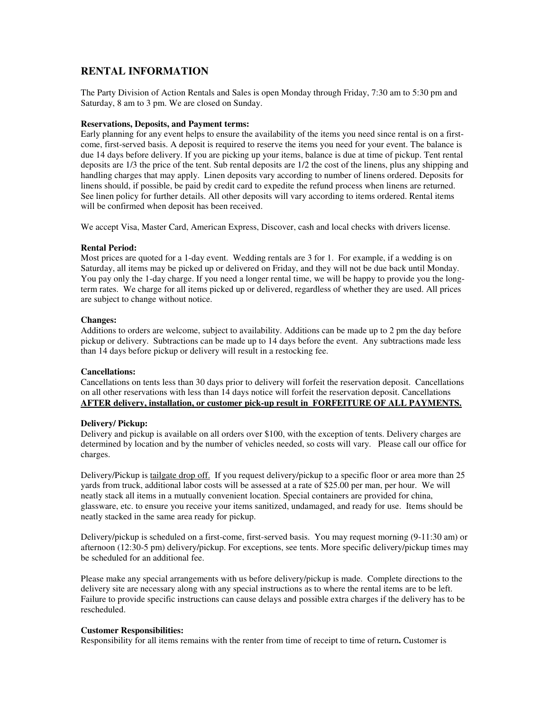# **RENTAL INFORMATION**

The Party Division of Action Rentals and Sales is open Monday through Friday, 7:30 am to 5:30 pm and Saturday, 8 am to 3 pm. We are closed on Sunday.

## **Reservations, Deposits, and Payment terms:**

Early planning for any event helps to ensure the availability of the items you need since rental is on a firstcome, first-served basis. A deposit is required to reserve the items you need for your event. The balance is due 14 days before delivery. If you are picking up your items, balance is due at time of pickup. Tent rental deposits are 1/3 the price of the tent. Sub rental deposits are 1/2 the cost of the linens, plus any shipping and handling charges that may apply. Linen deposits vary according to number of linens ordered. Deposits for linens should, if possible, be paid by credit card to expedite the refund process when linens are returned. See linen policy for further details. All other deposits will vary according to items ordered. Rental items will be confirmed when deposit has been received.

We accept Visa, Master Card, American Express, Discover, cash and local checks with drivers license.

#### **Rental Period:**

Most prices are quoted for a 1-day event. Wedding rentals are 3 for 1. For example, if a wedding is on Saturday, all items may be picked up or delivered on Friday, and they will not be due back until Monday. You pay only the 1-day charge. If you need a longer rental time, we will be happy to provide you the longterm rates. We charge for all items picked up or delivered, regardless of whether they are used. All prices are subject to change without notice.

#### **Changes:**

Additions to orders are welcome, subject to availability. Additions can be made up to 2 pm the day before pickup or delivery. Subtractions can be made up to 14 days before the event. Any subtractions made less than 14 days before pickup or delivery will result in a restocking fee.

#### **Cancellations:**

Cancellations on tents less than 30 days prior to delivery will forfeit the reservation deposit. Cancellations on all other reservations with less than 14 days notice will forfeit the reservation deposit. Cancellations **AFTER delivery, installation, or customer pick-up result in FORFEITURE OF ALL PAYMENTS.**

#### **Delivery/ Pickup:**

Delivery and pickup is available on all orders over \$100, with the exception of tents. Delivery charges are determined by location and by the number of vehicles needed, so costs will vary. Please call our office for charges.

Delivery/Pickup is tailgate drop off. If you request delivery/pickup to a specific floor or area more than 25 yards from truck, additional labor costs will be assessed at a rate of \$25.00 per man, per hour. We will neatly stack all items in a mutually convenient location. Special containers are provided for china, glassware, etc. to ensure you receive your items sanitized, undamaged, and ready for use. Items should be neatly stacked in the same area ready for pickup.

Delivery/pickup is scheduled on a first-come, first-served basis. You may request morning (9-11:30 am) or afternoon (12:30-5 pm) delivery/pickup. For exceptions, see tents. More specific delivery/pickup times may be scheduled for an additional fee.

Please make any special arrangements with us before delivery/pickup is made. Complete directions to the delivery site are necessary along with any special instructions as to where the rental items are to be left. Failure to provide specific instructions can cause delays and possible extra charges if the delivery has to be rescheduled.

#### **Customer Responsibilities:**

Responsibility for all items remains with the renter from time of receipt to time of return**.** Customer is